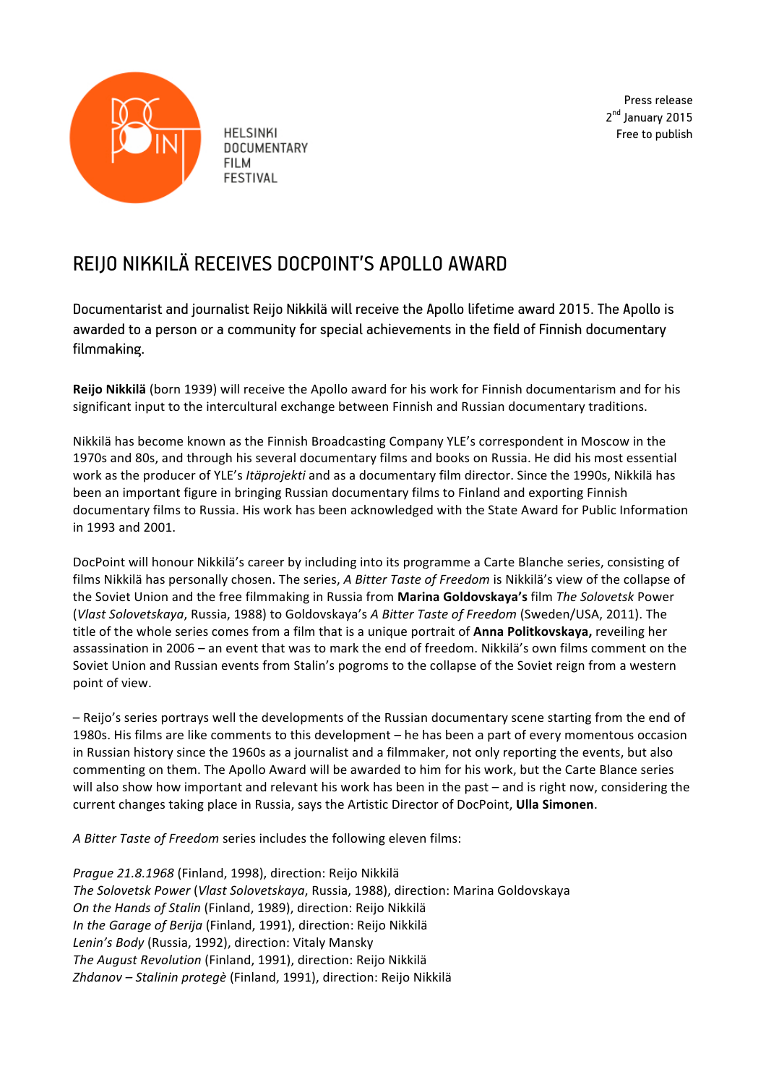

**HELSINKI DOCUMENTARY FILM FESTIVAL** 

Press release 2<sup>nd</sup> January 2015 Free to publish

## REIJO NIKKILÄ RECEIVES DOCPOINT'S APOLLO AWARD

Documentarist and journalist Reijo Nikkilä will receive the Apollo lifetime award 2015. The Apollo is awarded to a person or a community for special achievements in the field of Finnish documentary filmmaking.

**Reijo Nikkilä** (born 1939) will receive the Apollo award for his work for Finnish documentarism and for his significant input to the intercultural exchange between Finnish and Russian documentary traditions.

Nikkilä has become known as the Finnish Broadcasting Company YLE's correspondent in Moscow in the 1970s and 80s, and through his several documentary films and books on Russia. He did his most essential work as the producer of YLE's *Itäprojekti* and as a documentary film director. Since the 1990s, Nikkilä has been an important figure in bringing Russian documentary films to Finland and exporting Finnish documentary films to Russia. His work has been acknowledged with the State Award for Public Information in 1993 and 2001.

DocPoint will honour Nikkilä's career by including into its programme a Carte Blanche series, consisting of films Nikkilä has personally chosen. The series, *A Bitter Taste of Freedom* is Nikkilä's view of the collapse of the Soviet Union and the free filmmaking in Russia from Marina Goldovskaya's film The Solovetsk Power (*Vlast Solovetskaya*, Russia, 1988) to Goldovskaya's *A Bitter Taste of Freedom* (Sweden/USA, 2011). The title of the whole series comes from a film that is a unique portrait of **Anna Politkovskaya,** reveiling her assassination in 2006 – an event that was to mark the end of freedom. Nikkilä's own films comment on the Soviet Union and Russian events from Stalin's pogroms to the collapse of the Soviet reign from a western point of view.

- Reijo's series portrays well the developments of the Russian documentary scene starting from the end of 1980s. His films are like comments to this development – he has been a part of every momentous occasion in Russian history since the 1960s as a journalist and a filmmaker, not only reporting the events, but also commenting on them. The Apollo Award will be awarded to him for his work, but the Carte Blance series will also show how important and relevant his work has been in the past – and is right now, considering the current changes taking place in Russia, says the Artistic Director of DocPoint, **Ulla Simonen**.

*A Bitter Taste of Freedom series includes the following eleven films:* 

*Prague* 21.8.1968 (Finland, 1998), direction: Reijo Nikkilä *The Solovetsk Power* (*Vlast Solovetskaya*, Russia, 1988), direction: Marina Goldovskaya *On the Hands of Stalin* (Finland, 1989), direction: Reijo Nikkilä *In the Garage of Berija* (Finland, 1991), direction: Reijo Nikkilä Lenin's Body (Russia, 1992), direction: Vitaly Mansky **The August Revolution (Finland, 1991), direction: Reijo Nikkilä** *Zhdanov – Stalinin protegè* (Finland, 1991), direction: Reijo Nikkilä